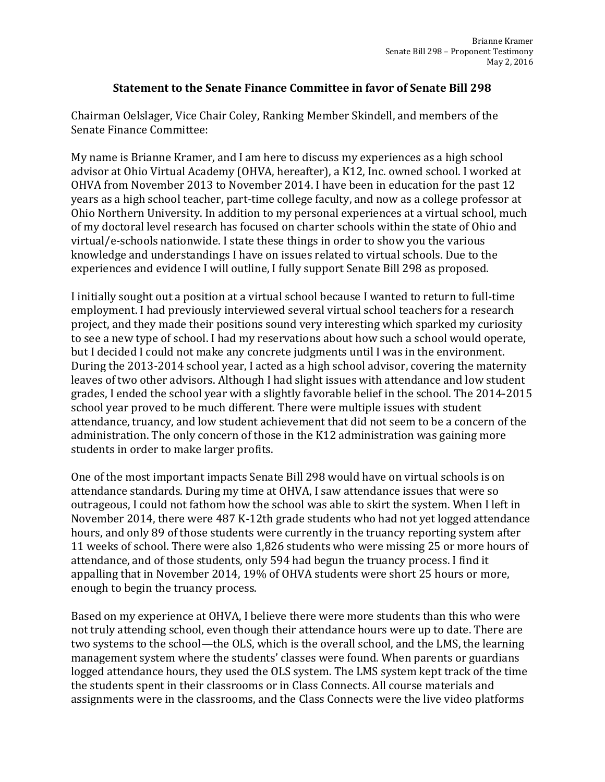## **Statement to the Senate Finance Committee in favor of Senate Bill 298**

Chairman Oelslager, Vice Chair Coley, Ranking Member Skindell, and members of the Senate Finance Committee:

My name is Brianne Kramer, and I am here to discuss my experiences as a high school advisor at Ohio Virtual Academy (OHVA, hereafter), a K12, Inc. owned school. I worked at OHVA from November 2013 to November 2014. I have been in education for the past 12 years as a high school teacher, part-time college faculty, and now as a college professor at Ohio Northern University. In addition to my personal experiences at a virtual school, much of my doctoral level research has focused on charter schools within the state of Ohio and virtual/e-schools nationwide. I state these things in order to show you the various knowledge and understandings I have on issues related to virtual schools. Due to the experiences and evidence I will outline, I fully support Senate Bill 298 as proposed.

I initially sought out a position at a virtual school because I wanted to return to full-time employment. I had previously interviewed several virtual school teachers for a research project, and they made their positions sound very interesting which sparked my curiosity to see a new type of school. I had my reservations about how such a school would operate, but I decided I could not make any concrete judgments until I was in the environment. During the 2013-2014 school year, I acted as a high school advisor, covering the maternity leaves of two other advisors. Although I had slight issues with attendance and low student grades, I ended the school year with a slightly favorable belief in the school. The 2014-2015 school year proved to be much different. There were multiple issues with student attendance, truancy, and low student achievement that did not seem to be a concern of the administration. The only concern of those in the K12 administration was gaining more students in order to make larger profits.

One of the most important impacts Senate Bill 298 would have on virtual schools is on attendance standards. During my time at OHVA, I saw attendance issues that were so outrageous, I could not fathom how the school was able to skirt the system. When I left in November 2014, there were 487 K-12th grade students who had not yet logged attendance hours, and only 89 of those students were currently in the truancy reporting system after 11 weeks of school. There were also 1,826 students who were missing 25 or more hours of attendance, and of those students, only 594 had begun the truancy process. I find it appalling that in November 2014, 19% of OHVA students were short 25 hours or more, enough to begin the truancy process.

Based on my experience at OHVA, I believe there were more students than this who were not truly attending school, even though their attendance hours were up to date. There are two systems to the school—the OLS, which is the overall school, and the LMS, the learning management system where the students' classes were found. When parents or guardians logged attendance hours, they used the OLS system. The LMS system kept track of the time the students spent in their classrooms or in Class Connects. All course materials and assignments were in the classrooms, and the Class Connects were the live video platforms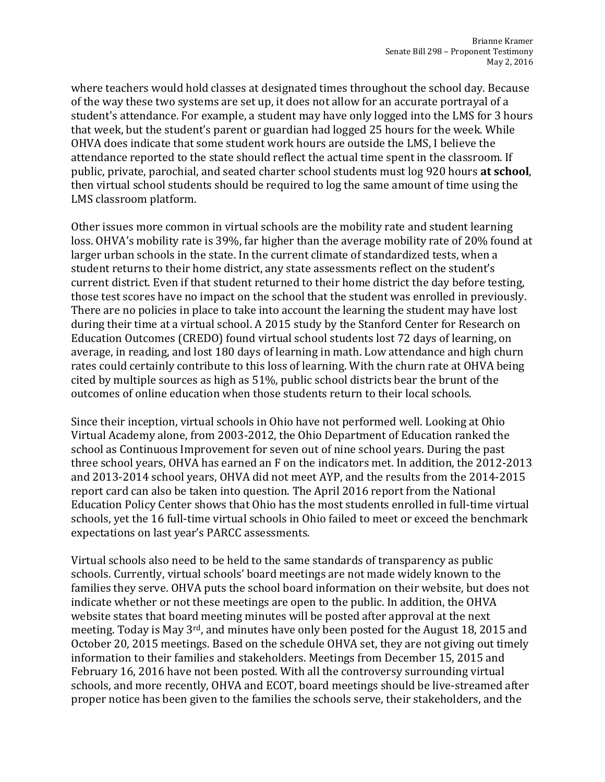where teachers would hold classes at designated times throughout the school day. Because of the way these two systems are set up, it does not allow for an accurate portrayal of a student's attendance. For example, a student may have only logged into the LMS for 3 hours that week, but the student's parent or guardian had logged 25 hours for the week. While OHVA does indicate that some student work hours are outside the LMS, I believe the attendance reported to the state should reflect the actual time spent in the classroom. If public, private, parochial, and seated charter school students must log 920 hours **at school**, then virtual school students should be required to log the same amount of time using the LMS classroom platform.

Other issues more common in virtual schools are the mobility rate and student learning loss. OHVA's mobility rate is 39%, far higher than the average mobility rate of 20% found at larger urban schools in the state. In the current climate of standardized tests, when a student returns to their home district, any state assessments reflect on the student's current district. Even if that student returned to their home district the day before testing, those test scores have no impact on the school that the student was enrolled in previously. There are no policies in place to take into account the learning the student may have lost during their time at a virtual school. A 2015 study by the Stanford Center for Research on Education Outcomes (CREDO) found virtual school students lost 72 days of learning, on average, in reading, and lost 180 days of learning in math. Low attendance and high churn rates could certainly contribute to this loss of learning. With the churn rate at OHVA being cited by multiple sources as high as 51%, public school districts bear the brunt of the outcomes of online education when those students return to their local schools.

Since their inception, virtual schools in Ohio have not performed well. Looking at Ohio Virtual Academy alone, from 2003-2012, the Ohio Department of Education ranked the school as Continuous Improvement for seven out of nine school years. During the past three school years, OHVA has earned an F on the indicators met. In addition, the 2012-2013 and 2013-2014 school years, OHVA did not meet AYP, and the results from the 2014-2015 report card can also be taken into question. The April 2016 report from the National Education Policy Center shows that Ohio has the most students enrolled in full-time virtual schools, yet the 16 full-time virtual schools in Ohio failed to meet or exceed the benchmark expectations on last year's PARCC assessments.

Virtual schools also need to be held to the same standards of transparency as public schools. Currently, virtual schools' board meetings are not made widely known to the families they serve. OHVA puts the school board information on their website, but does not indicate whether or not these meetings are open to the public. In addition, the OHVA website states that board meeting minutes will be posted after approval at the next meeting. Today is May 3rd, and minutes have only been posted for the August 18, 2015 and October 20, 2015 meetings. Based on the schedule OHVA set, they are not giving out timely information to their families and stakeholders. Meetings from December 15, 2015 and February 16, 2016 have not been posted. With all the controversy surrounding virtual schools, and more recently, OHVA and ECOT, board meetings should be live-streamed after proper notice has been given to the families the schools serve, their stakeholders, and the